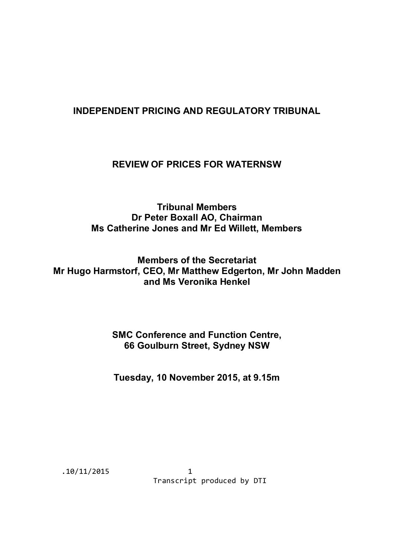# **INDEPENDENT PRICING AND REGULATORY TRIBUNAL**

## **REVIEW OF PRICES FOR WATERNSW**

**Tribunal Members Dr Peter Boxall AO, Chairman Ms Catherine Jones and Mr Ed Willett, Members**

**Members of the Secretariat Mr Hugo Harmstorf, CEO, Mr Matthew Edgerton, Mr John Madden and Ms Veronika Henkel**

## **SMC Conference and Function Centre, 66 Goulburn Street, Sydney NSW**

**Tuesday, 10 November 2015, at 9.15m**

.10/11/2015 1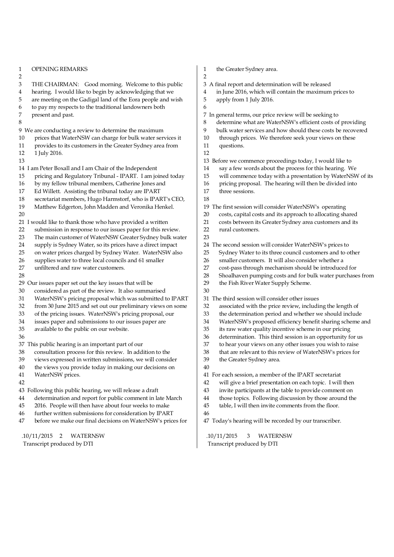| 1      | <b>OPENING REMARKS</b>                                      |  |  |  |  |  |
|--------|-------------------------------------------------------------|--|--|--|--|--|
| 2      |                                                             |  |  |  |  |  |
| 3      | Good morning. Welcome to this public<br>THE CHAIRMAN:       |  |  |  |  |  |
| 4      | hearing. I would like to begin by acknowledging that we     |  |  |  |  |  |
| 5      | are meeting on the Gadigal land of the Eora people and wish |  |  |  |  |  |
| 6      | to pay my respects to the traditional landowners both       |  |  |  |  |  |
| 7      | present and past.                                           |  |  |  |  |  |
| 8      |                                                             |  |  |  |  |  |
|        | 9 We are conducting a review to determine the maximum       |  |  |  |  |  |
| 10     | prices that WaterNSW can charge for bulk water services it  |  |  |  |  |  |
| 11     | provides to its customers in the Greater Sydney area from   |  |  |  |  |  |
| 12     | 1 July 2016.                                                |  |  |  |  |  |
| 13     |                                                             |  |  |  |  |  |
|        | 14 I am Peter Boxall and I am Chair of the Independent      |  |  |  |  |  |
| 15     | pricing and Regulatory Tribunal - IPART. I am joined today  |  |  |  |  |  |
| $16\,$ | by my fellow tribunal members, Catherine Jones and          |  |  |  |  |  |
| 17     | Ed Willett. Assisting the tribunal today are IPART          |  |  |  |  |  |
| 18     | secretariat members, Hugo Harmstorf, who is IPART's CEO,    |  |  |  |  |  |
| 19     | Matthew Edgerton, John Madden and Veronika Henkel.          |  |  |  |  |  |
| 20     |                                                             |  |  |  |  |  |
|        | 21 I would like to thank those who have provided a written  |  |  |  |  |  |
| 22     | submission in response to our issues paper for this review. |  |  |  |  |  |
| 23     | The main customer of WaterNSW Greater Sydney bulk water     |  |  |  |  |  |
| 24     | supply is Sydney Water, so its prices have a direct impact  |  |  |  |  |  |
| 25     | on water prices charged by Sydney Water. WaterNSW also      |  |  |  |  |  |
| 26     | supplies water to three local councils and 61 smaller       |  |  |  |  |  |
| 27     | unfiltered and raw water customers.                         |  |  |  |  |  |
| 28     |                                                             |  |  |  |  |  |
|        | 29 Our issues paper set out the key issues that will be     |  |  |  |  |  |
| 30     | considered as part of the review. It also summarised        |  |  |  |  |  |
| 31     | WaterNSW's pricing proposal which was submitted to IPART    |  |  |  |  |  |
| 32     | from 30 June 2015 and set out our preliminary views on some |  |  |  |  |  |
| 33     | of the pricing issues. WaterNSW's pricing proposal, our     |  |  |  |  |  |
| 34     | issues paper and submissions to our issues paper are        |  |  |  |  |  |
| 35     | available to the public on our website.                     |  |  |  |  |  |
| 36     |                                                             |  |  |  |  |  |
|        | 37 This public hearing is an important part of our          |  |  |  |  |  |
| 38     | consultation process for this review. In addition to the    |  |  |  |  |  |
| 39     | views expressed in written submissions, we will consider    |  |  |  |  |  |
| 40     | the views you provide today in making our decisions on      |  |  |  |  |  |
| 41     | WaterNSW prices.                                            |  |  |  |  |  |
| 42     |                                                             |  |  |  |  |  |
|        | 43 Following this public hearing, we will release a draft   |  |  |  |  |  |
| 44     | determination and report for public comment in late March   |  |  |  |  |  |
| 45     | 2016. People will then have about four weeks to make        |  |  |  |  |  |
| 46     | further written submissions for consideration by IPART      |  |  |  |  |  |
| 47     | before we make our final decisions on WaterNSW's prices for |  |  |  |  |  |

.10/11/2015 2 WATERNSW

Transcript produced by DTI

- 1 the Greater Sydney area. 2
- 3 A final report and determination will be released
- 4 in June 2016, which will contain the maximum prices to
- 5 apply from 1 July 2016.

7 In general terms, our price review will be seeking to

- 8 determine what are WaterNSW's efficient costs of providing
- 9 bulk water services and how should these costs be recovered
- 10 through prices. We therefore seek your views on these
- 11 questions.

6

- 12
- 13 Before we commence proceedings today, I would like to
- 14 say a few words about the process for this hearing. We
- 15 will commence today with a presentation by WaterNSW of its
- 16 pricing proposal. The hearing will then be divided into
- 17 three sessions. 18

19 The first session will consider WaterNSW's operating

- 20 costs, capital costs and its approach to allocating shared
- 21 costs between its Greater Sydney area customers and its
- 22 rural customers.
- 23
- 24 The second session will consider WaterNSW's prices to
- 25 Sydney Water to its three council customers and to other
- 26 smaller customers. It will also consider whether a
- 27 cost-pass through mechanism should be introduced for
- 28 Shoalhaven pumping costs and for bulk water purchases from
- 29 the Fish River Water Supply Scheme.
- $30$
- 31 The third session will consider other issues
- 32 associated with the price review, including the length of
- 33 the determination period and whether we should include
- 34 WaterNSW's proposed efficiency benefit sharing scheme and
- 35 its raw water quality incentive scheme in our pricing
- 36 determination. This third session is an opportunity for us<br>37 to hear your views on any other issues you wish to raise
- to hear your views on any other issues you wish to raise
- 38 that are relevant to this review of WaterNSW's prices for
- 39 the Greater Sydney area.
	-
- 41 For each session, a member of the IPART secretariat
- 42 will give a brief presentation on each topic. I will then
- 43 invite participants at the table to provide comment on
- 44 those topics. Following discussion by those around the
- 45 table, I will then invite comments from the floor.
- 46

40

47 Today's hearing will be recorded by our transcriber.

 .10/11/2015 3 WATERNSW Transcript produced by DTI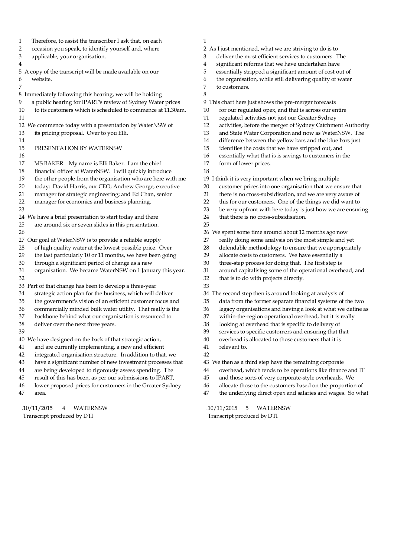1 Therefore, to assist the transcriber I ask that, on each 2 occasion you speak, to identify yourself and, where<br>3 applicable, your organisation. applicable, your organisation. 4 5 A copy of the transcript will be made available on our 6 website. 7 8 Immediately following this hearing, we will be holding 9 a public hearing for IPART's review of Sydney Water prices 10 to its customers which is scheduled to commence at 11.30am. 11 12 We commence today with a presentation by WaterNSW of 13 its pricing proposal. Over to you Elli. 14 15 PRESENTATION BY WATERNSW 16 17 MS BAKER: My name is Elli Baker. I am the chief 18 financial officer at WaterNSW. I will quickly introduce 19 the other people from the organisation who are here with me<br>20 today: David Harris, our CEO; Andrew George, executive 20 today: David Harris, our CEO; Andrew George, executive<br>21 manager for strategic engineering: and Ed Chan, senior manager for strategic engineering; and Ed Chan, senior 22 manager for economics and business planning. 23 24 We have a brief presentation to start today and there 25 are around six or seven slides in this presentation. 26 27 Our goal at WaterNSW is to provide a reliable supply<br>28 of high quality water at the lowest possible price. of high quality water at the lowest possible price. Over 29 the last particularly 10 or 11 months, we have been going 30 through a significant period of change as a new 31 organisation. We became WaterNSW on 1 January this year. 32 33 Part of that change has been to develop a three-year 34 strategic action plan for the business, which will deliver 35 the government's vision of an efficient customer focus and 36 commercially minded bulk water utility. That really is the backbone behind what our organisation is resourced to backbone behind what our organisation is resourced to 38 deliver over the next three years. 39 40 We have designed on the back of that strategic action, 41 and are currently implementing, a new and efficient 42 integrated organisation structure. In addition to that, we 43 have a significant number of new investment processes that 44 are being developed to rigorously assess spending. The 45 result of this has been, as per our submissions to IPART, 46 lower proposed prices for customers in the Greater Sydney 47 area.

 .10/11/2015 4 WATERNSW Transcript produced by DTI

#### 1

- 2 As I just mentioned, what we are striving to do is to
- 3 deliver the most efficient services to customers. The
- 4 significant reforms that we have undertaken have
- 5 essentially stripped a significant amount of cost out of 6 the organisation, while still delivering quality of water
- 7 to customers.
- 8

9 This chart here just shows the pre-merger forecasts

- 10 for our regulated opex, and that is across our entire
- 11 regulated activities not just our Greater Sydney
- 12 activities, before the merger of Sydney Catchment Authority
- 13 and State Water Corporation and now as WaterNSW. The
- 14 difference between the yellow bars and the blue bars just
- 15 identifies the costs that we have stripped out, and
- 16 essentially what that is is savings to customers in the
- 17 form of lower prices. 18
- 19 I think it is very important when we bring multiple
- 20 customer prices into one organisation that we ensure that
- 21 there is no cross-subsidisation, and we are very aware of
- 22 this for our customers. One of the things we did want to
- 23 be very upfront with here today is just how we are ensuring
- 24 that there is no cross-subsidisation.
- 25

26 We spent some time around about 12 months ago now

- 27 really doing some analysis on the most simple and yet
- 28 defendable methodology to ensure that we appropriately
- 29 allocate costs to customers. We have essentially a
- 30 three-step process for doing that. The first step is
- 31 around capitalising some of the operational overhead, and
- 32 that is to do with projects directly.
- 33 34 The second step then is around looking at analysis of
- 35 data from the former separate financial systems of the two
- 
- 36 legacy organisations and having a look at what we define as<br>37 within-the-region operational overhead, but it is really within-the-region operational overhead, but it is really
- 38 looking at overhead that is specific to delivery of
- 39 services to specific customers and ensuring that that
- 40 overhead is allocated to those customers that it is
- 41 relevant to.
- 42
- 43 We then as a third step have the remaining corporate
- 44 overhead, which tends to be operations like finance and IT
- 45 and those sorts of very corporate-style overheads. We
- 46 allocate those to the customers based on the proportion of
- 47 the underlying direct opex and salaries and wages. So what

 .10/11/2015 5 WATERNSW Transcript produced by DTI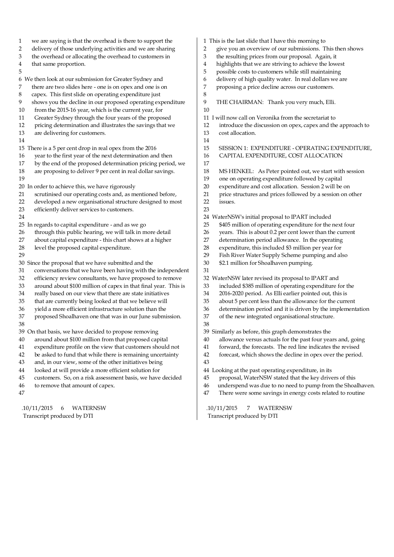1 we are saying is that the overhead is there to support the 2 delivery of those underlying activities and we are sharing<br>3 the overhead or allocating the overhead to customers in 3 the overhead or allocating the overhead to customers in that same proportion. that same proportion. 5 6 We then look at our submission for Greater Sydney and 7 there are two slides here - one is on opex and one is on 8 capex. This first slide on operating expenditure just 9 shows you the decline in our proposed operating expenditure 10 from the 2015-16 year, which is the current year, for 11 Greater Sydney through the four years of the proposed 12 pricing determination and illustrates the savings that we 13 are delivering for customers. 14 15 There is a 5 per cent drop in real opex from the 2016 16 year to the first year of the next determination and then 17 by the end of the proposed determination pricing period, we 18 are proposing to deliver 9 per cent in real dollar savings. 19 20 In order to achieve this, we have rigorously 21 scrutinised our operating costs and, as mentioned before, 22 developed a new organisational structure designed to most 23 efficiently deliver services to customers. 24 25 In regards to capital expenditure - and as we go 26 through this public hearing, we will talk in more detail 27 about capital expenditure - this chart shows at a higher 28 level the proposed capital expenditure. 29 30 Since the proposal that we have submitted and the 31 conversations that we have been having with the independent 32 efficiency review consultants, we have proposed to remove 33 around about \$100 million of capex in that final year. This is 34 really based on our view that there are state initiatives 35 that are currently being looked at that we believe will 36 yield a more efficient infrastructure solution than the proposed Shoalhaven one that was in our June submission. 38 39 On that basis, we have decided to propose removing 40 around about \$100 million from that proposed capital 41 expenditure profile on the view that customers should not 42 be asked to fund that while there is remaining uncertainty 43 and, in our view, some of the other initiatives being 44 looked at will provide a more efficient solution for 45 customers. So, on a risk assessment basis, we have decided 46 to remove that amount of capex. 47 1 This is the last slide that I have this morning to 2 give you an overview of our submissions. This then shows 3 the resulting prices from our proposal. Again, it 4 highlights that we are striving to achieve the lowest<br>5 possible costs to customers while still maintaining 5 possible costs to customers while still maintaining 6 delivery of high quality water. In real dollars we are<br>7 proposing a price decline across our customers. proposing a price decline across our customers. 8 9 THE CHAIRMAN: Thank you very much, Elli. 10 11 I will now call on Veronika from the secretariat to 12 introduce the discussion on opex, capex and the approach to 13 cost allocation. 14 15 SESSION 1: EXPENDITURE - OPERATING EXPENDITURE, 16 CAPITAL EXPENDITURE, COST ALLOCATION 17 18 MS HENKEL: As Peter pointed out, we start with session 19 one on operating expenditure followed by capital<br>20 expenditure and cost allocation. Session 2 will be expenditure and cost allocation. Session 2 will be on 21 price structures and prices followed by a session on other 22 issues. 23 24 WaterNSW's initial proposal to IPART included 25 \$405 million of operating expenditure for the next four 26 years. This is about 0.2 per cent lower than the current 27 determination period allowance. In the operating 28 expenditure, this included \$3 million per year for 29 Fish River Water Supply Scheme pumping and also 30 \$2.1 million for Shoalhaven pumping. 31 32 WaterNSW later revised its proposal to IPART and 33 included \$385 million of operating expenditure for the 34 2016-2020 period. As Elli earlier pointed out, this is 35 about 5 per cent less than the allowance for the current 36 determination period and it is driven by the implementation<br>37 of the new integrated organisational structure. of the new integrated organisational structure. 38 39 Similarly as before, this graph demonstrates the 40 allowance versus actuals for the past four years and, going 41 forward, the forecasts. The red line indicates the revised 42 forecast, which shows the decline in opex over the period. 43 44 Looking at the past operating expenditure, in its 45 proposal, WaterNSW stated that the key drivers of this 46 underspend was due to no need to pump from the Shoalhaven. 47 There were some savings in energy costs related to routine

 .10/11/2015 6 WATERNSW Transcript produced by DTI

 .10/11/2015 7 WATERNSW Transcript produced by DTI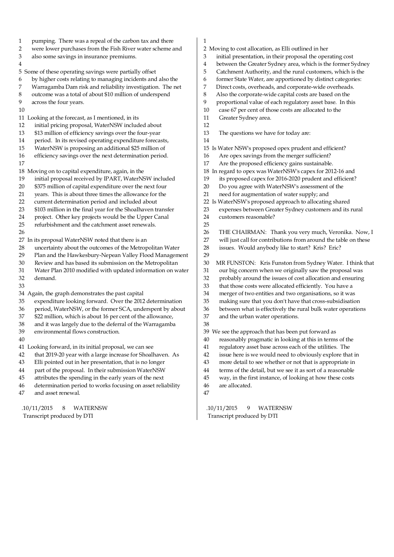- 1 pumping. There was a repeal of the carbon tax and there
- 2 were lower purchases from the Fish River water scheme and<br>3 also some savings in insurance premiums.
- also some savings in insurance premiums.
- 4
- 5 Some of these operating savings were partially offset
- 6 by higher costs relating to managing incidents and also the
- 7 Warragamba Dam risk and reliability investigation. The net
- 8 outcome was a total of about \$10 million of underspend
- 9 across the four years.
- 10

#### 11 Looking at the forecast, as I mentioned, in its

- 12 initial pricing proposal, WaterNSW included about
- 13 \$13 million of efficiency savings over the four-year
- 14 period. In its revised operating expenditure forecasts,
- 15 WaterNSW is proposing an additional \$25 million of
- 16 efficiency savings over the next determination period. 17
- 18 Moving on to capital expenditure, again, in the
- 19 initial proposal received by IPART, WaterNSW included
- 20 \$375 million of capital expenditure over the next four<br>21 years. This is about three times the allowance for the
- 21 years. This is about three times the allowance for the
- current determination period and included about
- 23 \$103 million in the final year for the Shoalhaven transfer
- 24 project. Other key projects would be the Upper Canal
- 25 refurbishment and the catchment asset renewals.
- 26

27 In its proposal WaterNSW noted that there is an

- 28 uncertainty about the outcomes of the Metropolitan Water
- 29 Plan and the Hawkesbury-Nepean Valley Flood Management
- 30 Review and has based its submission on the Metropolitan
- 31 Water Plan 2010 modified with updated information on water
- 32 demand.
- 33
- 34 Again, the graph demonstrates the past capital
- 35 expenditure looking forward. Over the 2012 determination
- 36 period, WaterNSW, or the former SCA, underspent by about 37 \$22 million, which is about 16 per cent of the allowance.
- \$22 million, which is about 16 per cent of the allowance,
- 38 and it was largely due to the deferral of the Warragamba
- 39 environmental flows construction.
- 40
	-
- 41 Looking forward, in its initial proposal, we can see
- 42 that 2019-20 year with a large increase for Shoalhaven. As
- 43 Elli pointed out in her presentation, that is no longer
- 44 part of the proposal. In their submission WaterNSW
- 45 attributes the spending in the early years of the next
- 46 determination period to works focusing on asset reliability
- 47 and asset renewal.

 .10/11/2015 8 WATERNSW Transcript produced by DTI

- 1
- 2 Moving to cost allocation, as Elli outlined in her
- 3 initial presentation, in their proposal the operating cost
- 4 between the Greater Sydney area, which is the former Sydney<br>5 Catchment Authority, and the rural customers, which is the
- 5 Catchment Authority, and the rural customers, which is the
- 6 former State Water, are apportioned by distinct categories:
- 7 Direct costs, overheads, and corporate-wide overheads.
- 8 Also the corporate-wide capital costs are based on the
- 9 proportional value of each regulatory asset base. In this
- 10 case 67 per cent of those costs are allocated to the
- 11 Greater Sydney area. 12
- 13 The questions we have for today are:
- 14
- 15 Is Water NSW's proposed opex prudent and efficient?
- 16 Are opex savings from the merger sufficient?
- 17 Are the proposed efficiency gains sustainable.
- 18 In regard to opex was WaterNSW's capex for 2012-16 and
- 19 its proposed capex for 2016-2020 prudent and efficient?
- 20 Do you agree with WaterNSW's assessment of the
- 21 need for augmentation of water supply; and
- 22 Is WaterNSW's proposed approach to allocating shared
- 23 expenses between Greater Sydney customers and its rural
- 24 customers reasonable?
- 25 26 THE CHAIRMAN: Thank you very much, Veronika. Now, I
- 27 will just call for contributions from around the table on these
- 28 issues. Would anybody like to start? Kris? Eric?
- 29
- 30 MR FUNSTON: Kris Funston from Sydney Water. I think that
- 31 our big concern when we originally saw the proposal was
- 32 probably around the issues of cost allocation and ensuring
- 33 that those costs were allocated efficiently. You have a
- 34 merger of two entities and two organisations, so it was
- 35 making sure that you don't have that cross-subsidisation
- 36 between what is effectively the rural bulk water operations<br>37 and the urban water operations.
- and the urban water operations. 38
- 39 We see the approach that has been put forward as
- 40 reasonably pragmatic in looking at this in terms of the
- 41 regulatory asset base across each of the utilities. The
- 42 issue here is we would need to obviously explore that in
- 43 more detail to see whether or not that is appropriate in
- 44 terms of the detail, but we see it as sort of a reasonable
- 45 way, in the first instance, of looking at how these costs
- 46 are allocated.

47

 .10/11/2015 9 WATERNSW Transcript produced by DTI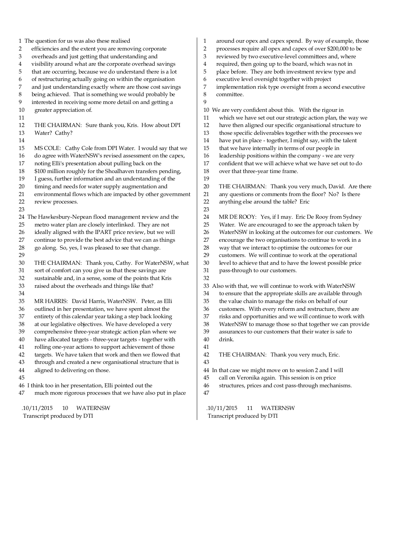1 The question for us was also these realised 2 efficiencies and the extent you are removing corporate<br>3 overheads and just getting that understanding and 3 overheads and just getting that understanding and 4 visibility around what are the corporate overhead savings<br>5 that are occurring, because we do understand there is a lot that are occurring, because we do understand there is a lot 6 of restructuring actually going on within the organisation 7 and just understanding exactly where are those cost savings 8 being achieved. That is something we would probably be 9 interested in receiving some more detail on and getting a 10 greater appreciation of. 11 12 THE CHAIRMAN: Sure thank you, Kris. How about DPI 13 Water? Cathy? 14 15 MS COLE: Cathy Cole from DPI Water. I would say that we 16 do agree with WaterNSW's revised assessment on the capex, 17 noting Elli's presentation about pulling back on the 18 \$100 million roughly for the Shoalhaven transfers pending, 19 I guess, further information and an understanding of the timing and needs for water supply augmentation and 20 timing and needs for water supply augmentation and<br>21 environmental flows which are impacted by other governmental flows which are impacted by other government environmental flows which are impacted by other government 22 review processes. 23 24 The Hawkesbury-Nepean flood management review and the 25 metro water plan are closely interlinked. They are not 26 ideally aligned with the IPART price review, but we will 27 continue to provide the best advice that we can as things 28 go along. So, yes, I was pleased to see that change. 29 30 THE CHAIRMAN: Thank you, Cathy. For WaterNSW, what 31 sort of comfort can you give us that these savings are 32 sustainable and, in a sense, some of the points that Kris 33 raised about the overheads and things like that? 34 35 MR HARRIS: David Harris, WaterNSW. Peter, as Elli 36 outlined in her presentation, we have spent almost the entirety of this calendar year taking a step back looking entirety of this calendar year taking a step back looking 38 at our legislative objectives. We have developed a very 39 comprehensive three-year strategic action plan where we 40 have allocated targets - three-year targets - together with 41 rolling one-year actions to support achievement of those 42 targets. We have taken that work and then we flowed that 43 through and created a new organisational structure that is 44 aligned to delivering on those. 45 46 I think too in her presentation, Elli pointed out the 47 much more rigorous processes that we have also put in place .10/11/2015 10 WATERNSW 1 around our opex and capex spend. By way of example, those 2 processes require all opex and capex of over \$200,000 to be 3 reviewed by two executive-level committees and, where 4 required, then going up to the board, which was not in 5 place before. They are both investment review type and 6 executive level oversight together with project 7 implementation risk type oversight from a second executive 8 committee. 9 10 We are very confident about this. With the rigour in 11 which we have set out our strategic action plan, the way we 12 have then aligned our specific organisational structure to 13 those specific deliverables together with the processes we 14 have put in place - together, I might say, with the talent 15 that we have internally in terms of our people in 16 leadership positions within the company - we are very 17 confident that we will achieve what we have set out to do 18 over that three-year time frame.  $\frac{19}{20}$ THE CHAIRMAN: Thank you very much, David. Are there 21 any questions or comments from the floor? No? Is there 22 anything else around the table? Eric 23 24 MR DE ROOY: Yes, if I may. Eric De Rooy from Sydney 25 Water. We are encouraged to see the approach taken by 26 WaterNSW in looking at the outcomes for our customers. We 27 encourage the two organisations to continue to work in a 28 way that we interact to optimise the outcomes for our 29 customers. We will continue to work at the operational 30 level to achieve that and to have the lowest possible price 31 pass-through to our customers. 32 33 Also with that, we will continue to work with WaterNSW 34 to ensure that the appropriate skills are available through 35 the value chain to manage the risks on behalf of our 36 customers. With every reform and restructure, there are<br>37 risks and opportunities and we will continue to work with risks and opportunities and we will continue to work with 38 WaterNSW to manage those so that together we can provide 39 assurances to our customers that their water is safe to 40 drink. 41 42 THE CHAIRMAN: Thank you very much, Eric. 43 44 In that case we might move on to session 2 and I will 45 call on Veronika again. This session is on price 46 structures, prices and cost pass-through mechanisms. 47 .10/11/2015 11 WATERNSW

Transcript produced by DTI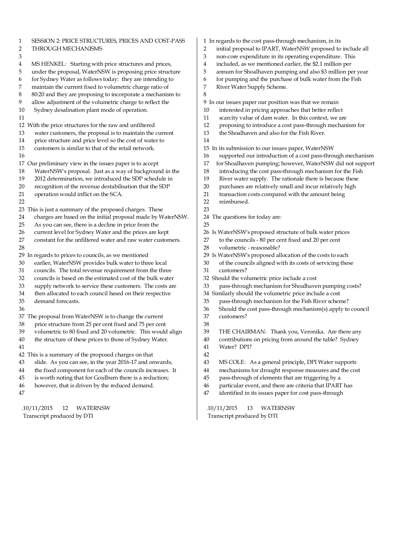| SESSION 2: PRICE STRUCTURES, PRICES AND COST-PASS<br>1            | 1 In regards to the cost pass-through mechanism, in its                                |
|-------------------------------------------------------------------|----------------------------------------------------------------------------------------|
| 2<br>THROUGH MECHANISMS                                           | initial proposal to IPART, WaterNSW proposed to include all<br>$\overline{\mathbf{c}}$ |
| 3                                                                 | $\mathfrak{Z}$<br>non-core expenditure in its operating expenditure. This              |
| 4<br>MS HENKEL: Starting with price structures and prices,        | 4<br>included, as we mentioned earlier, the \$2.1 million per                          |
| 5<br>under the proposal, WaterNSW is proposing price structure    | 5<br>annum for Shoalhaven pumping and also \$3 million per year                        |
| for Sydney Water as follows today: they are intending to<br>6     | 6<br>for pumping and the purchase of bulk water from the Fish                          |
| maintain the current fixed to volumetric charge ratio of<br>7     | 7<br>River Water Supply Scheme.                                                        |
| 8<br>80:20 and they are proposing to incorporate a mechanism to   | 8                                                                                      |
| allow adjustment of the volumetric charge to reflect the<br>9     | 9 In our issues paper our position was that we remain                                  |
| Sydney desalination plant mode of operation.<br>10                | interested in pricing approaches that better reflect<br>10                             |
| 11                                                                | scarcity value of dam water. In this context, we are<br>11                             |
| 12 With the price structures for the raw and unfiltered           | 12<br>proposing to introduce a cost pass-through mechanism for                         |
| water customers, the proposal is to maintain the current<br>13    | 13<br>the Shoalhaven and also for the Fish River.                                      |
| price structure and price level so the cost of water to<br>14     | 14                                                                                     |
| customers is similar to that of the retail network.<br>15         | 15 In its submission to our issues paper, WaterNSW                                     |
| 16                                                                | supported our introduction of a cost pass-through mechanism<br>16                      |
| 17 Our preliminary view in the issues paper is to accept          | 17<br>for Shoalhaven pumping; however, WaterNSW did not support                        |
| WaterNSW's proposal. Just as a way of background in the<br>18     | 18<br>introducing the cost pass-through mechanism for the Fish                         |
| 19<br>2012 determination, we introduced the SDP schedule in       | 19<br>River water supply. The rationale there is because these                         |
| $20\,$<br>recognition of the revenue destabilisation that the SDP | 20<br>purchases are relatively small and incur relatively high                         |
| 21<br>operation would inflict on the SCA.                         | 21<br>transaction costs compared with the amount being                                 |
| 22                                                                | 22<br>reimbursed.                                                                      |
| 23 This is just a summary of the proposed charges. These          | 23                                                                                     |
| charges are based on the initial proposal made by WaterNSW.<br>24 | 24 The questions for today are:                                                        |
| 25<br>As you can see, there is a decline in price from the        | 25                                                                                     |
| current level for Sydney Water and the prices are kept<br>26      | 26 Is WaterNSW's proposed structure of bulk water prices                               |
| 27<br>constant for the unfiltered water and raw water customers.  | to the councils - 80 per cent fixed and 20 per cent<br>27                              |
| $28\,$                                                            | 28<br>volumetric - reasonable?                                                         |
| 29 In regards to prices to councils, as we mentioned              | 29 Is WaterNSW's proposed allocation of the costs to each                              |
| earlier, WaterNSW provides bulk water to three local<br>30        | of the councils aligned with its costs of servicing these<br>30                        |
| councils. The total revenue requirement from the three<br>31      | 31<br>customers?                                                                       |
| councils is based on the estimated cost of the bulk water<br>32   | 32 Should the volumetric price include a cost                                          |
| supply network to service these customers. The costs are<br>33    | 33<br>pass-through mechanism for Shoalhaven pumping costs?                             |
| 34<br>then allocated to each council based on their respective    | 34 Similarly should the volumetric price include a cost                                |
| demand forecasts.<br>35                                           | 35<br>pass-through mechanism for the Fish River scheme?                                |
| 36                                                                | 36<br>Should the cost pass-through mechanism(s) apply to council                       |
| 37 The proposal from WaterNSW is to change the current            | 37<br>customers?                                                                       |
| price structure from 25 per cent fixed and 75 per cent<br>38      | 38                                                                                     |
| volumetric to 80 fixed and 20 volumetric. This would align<br>39  | 39<br>THE CHAIRMAN: Thank you, Veronika. Are there any                                 |
| the structure of these prices to those of Sydney Water.<br>40     | contributions on pricing from around the table? Sydney<br>40                           |
| 41                                                                | Water? DPI?<br>41                                                                      |
| 42 This is a summary of the proposed charges on that              | 42                                                                                     |
| slide. As you can see, in the year 2016-17 and onwards,<br>43     | 43<br>MS COLE: As a general principle, DPI Water supports                              |
| the fixed component for each of the councils increases. It<br>44  | mechanisms for drought response measures and the cost<br>44                            |
| is worth noting that for Goulburn there is a reduction;<br>45     | pass-through of elements that are triggering by a<br>45                                |
| however, that is driven by the reduced demand.<br>46              | particular event, and there are criteria that IPART has<br>46                          |
| 47                                                                | identified in its issues paper for cost pass-through<br>47                             |
|                                                                   |                                                                                        |
| <b>WATERNSW</b><br>.10/11/2015<br>12                              | <b>WATERNSW</b><br>.10/11/2015<br>13                                                   |

 $\overline{\phantom{a}}$ 

Transcript produced by DTI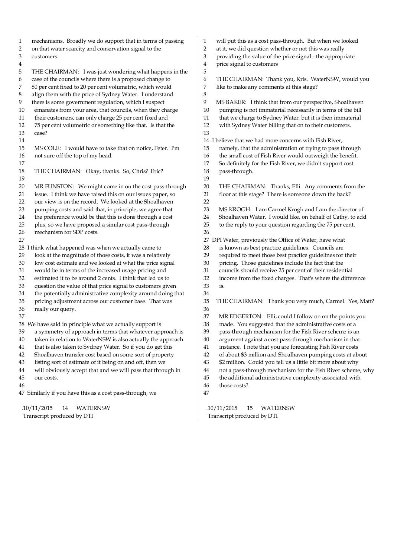1 mechanisms. Broadly we do support that in terms of passing 2 on that water scarcity and conservation signal to the customers. customers.  $\frac{4}{5}$ THE CHAIRMAN: I was just wondering what happens in the 6 case of the councils where there is a proposed change to 7 80 per cent fixed to 20 per cent volumetric, which would 8 align them with the price of Sydney Water. I understand 9 there is some government regulation, which I suspect 10 emanates from your area, that councils, when they charge 11 their customers, can only charge 25 per cent fixed and 12 75 per cent volumetric or something like that. Is that the 13 case? 14 15 MS COLE: I would have to take that on notice, Peter. I'm 16 not sure off the top of my head. 17 18 THE CHAIRMAN: Okay, thanks. So, Chris? Eric?  $\frac{19}{20}$ 20 MR FUNSTON: We might come in on the cost pass-through<br>21 issue. I think we have raised this on our issues paper. so issue. I think we have raised this on our issues paper, so 22 our view is on the record. We looked at the Shoalhaven 23 pumping costs and said that, in principle, we agree that 24 the preference would be that this is done through a cost 25 plus, so we have proposed a similar cost pass-through 26 mechanism for SDP costs. 27 28 I think what happened was when we actually came to 29 look at the magnitude of those costs, it was a relatively 30 low cost estimate and we looked at what the price signal 31 would be in terms of the increased usage pricing and 32 estimated it to be around 2 cents. I think that led us to 33 question the value of that price signal to customers given 34 the potentially administrative complexity around doing that 35 pricing adjustment across our customer base. That was 36 really our query. 37 38 We have said in principle what we actually support is 39 a symmetry of approach in terms that whatever approach is 40 taken in relation to WaterNSW is also actually the approach 41 that is also taken to Sydney Water. So if you do get this 42 Shoalhaven transfer cost based on some sort of property 43 listing sort of estimate of it being on and off, then we 44 will obviously accept that and we will pass that through in 45 our costs. 46 47 Similarly if you have this as a cost pass-through, we 1 will put this as a cost pass-through. But when we looked 2 at it, we did question whether or not this was really 3 providing the value of the price signal - the appropriate 4 price signal to customers 5 6 THE CHAIRMAN: Thank you, Kris. WaterNSW, would you 7 like to make any comments at this stage? 8 9 MS BAKER: I think that from our perspective, Shoalhaven 10 pumping is not immaterial necessarily in terms of the bill 11 that we charge to Sydney Water, but it is then immaterial 12 with Sydney Water billing that on to their customers. 13 14 I believe that we had more concerns with Fish River, 15 namely, that the administration of trying to pass through 16 the small cost of Fish River would outweigh the benefit. 17 So definitely for the Fish River, we didn't support cost 18 pass-through.  $\frac{19}{20}$ THE CHAIRMAN: Thanks, Elli. Any comments from the 21 floor at this stage? There is someone down the back? 22 23 MS KROGH: I am Carmel Krogh and I am the director of 24 Shoalhaven Water. I would like, on behalf of Cathy, to add 25 to the reply to your question regarding the 75 per cent. 26 27 DPI Water, previously the Office of Water, have what 28 is known as best practice guidelines. Councils are 29 required to meet those best practice guidelines for their 30 pricing. Those guidelines include the fact that the 31 councils should receive 25 per cent of their residential 32 income from the fixed charges. That's where the difference 33 is. 34 35 THE CHAIRMAN: Thank you very much, Carmel. Yes, Matt? 36 MR EDGERTON: Elli, could I follow on on the points you 38 made. You suggested that the administrative costs of a 39 pass-through mechanism for the Fish River scheme is an 40 argument against a cost pass-through mechanism in that 41 instance. I note that you are forecasting Fish River costs 42 of about \$3 million and Shoalhaven pumping costs at about 43 \$2 million. Could you tell us a little bit more about why 44 not a pass-through mechanism for the Fish River scheme, why 45 the additional administrative complexity associated with 46 those costs? 47

 .10/11/2015 14 WATERNSW Transcript produced by DTI

 .10/11/2015 15 WATERNSW Transcript produced by DTI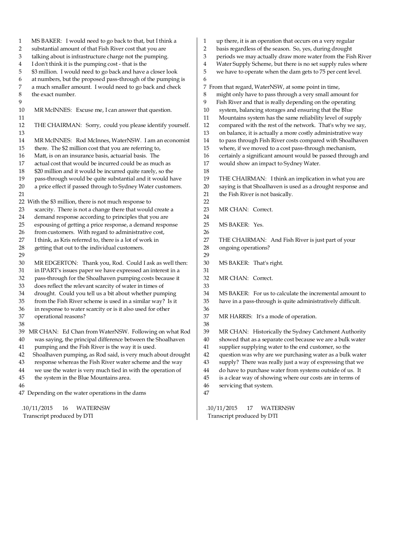1 MS BAKER: I would need to go back to that, but I think a 2 substantial amount of that Fish River cost that you are 3 talking about is infrastructure charge not the pumping.<br>4 I don't think it is the pumping cost - that is the 4 I don't think it is the pumping cost - that is the \$3 million. I would need to go back and have a closer look 6 at numbers, but the proposed pass-through of the pumping is 7 a much smaller amount. I would need to go back and check 8 the exact number. 9 10 MR McINNES: Excuse me, I can answer that question. 11 12 THE CHAIRMAN: Sorry, could you please identify yourself. 13 14 MR McINNES: Rod McInnes, WaterNSW. I am an economist 15 there. The \$2 million cost that you are referring to, 16 Matt, is on an insurance basis, actuarial basis. The 17 actual cost that would be incurred could be as much as 18 \$20 million and it would be incurred quite rarely, so the 19 pass-through would be quite substantial and it would have 20 a price effect if passed through to Sydney Water customers.  $21$ 22 With the \$3 million, there is not much response to 23 scarcity. There is not a change there that would create a 24 demand response according to principles that you are 25 espousing of getting a price response, a demand response 26 from customers. With regard to administrative cost, 27 I think, as Kris referred to, there is a lot of work in 28 getting that out to the individual customers. 29 30 MR EDGERTON: Thank you, Rod. Could I ask as well then: 31 in IPART's issues paper we have expressed an interest in a 32 pass-through for the Shoalhaven pumping costs because it 33 does reflect the relevant scarcity of water in times of 34 drought. Could you tell us a bit about whether pumping 35 from the Fish River scheme is used in a similar way? Is it 36 in response to water scarcity or is it also used for other operational reasons? 38 39 MR CHAN: Ed Chan from WaterNSW. Following on what Rod 40 was saying, the principal difference between the Shoalhaven 41 pumping and the Fish River is the way it is used. 42 Shoalhaven pumping, as Rod said, is very much about drought 43 response whereas the Fish River water scheme and the way 44 we use the water is very much tied in with the operation of 45 the system in the Blue Mountains area. 46 47 Depending on the water operations in the dams .10/11/2015 16 WATERNSW 1 up there, it is an operation that occurs on a very regular 2 basis regardless of the season. So, yes, during drought<br>3 periods we may actually draw more water from the Fis periods we may actually draw more water from the Fish River 4 Water Supply Scheme, but there is no set supply rules where<br>5 we have to operate when the dam gets to 75 per cent level we have to operate when the dam gets to 75 per cent level. 6 7 From that regard, WaterNSW, at some point in time, 8 might only have to pass through a very small amount for 9 Fish River and that is really depending on the operating 10 system, balancing storages and ensuring that the Blue 11 Mountains system has the same reliability level of supply 12 compared with the rest of the network. That's why we say, 13 on balance, it is actually a more costly administrative way 14 to pass through Fish River costs compared with Shoalhaven 15 where, if we moved to a cost pass-through mechanism, 16 certainly a significant amount would be passed through and 17 would show an impact to Sydney Water. 18 19 THE CHAIRMAN: I think an implication in what you are<br>20 saving is that Shoalhaven is used as a drought response and saying is that Shoalhaven is used as a drought response and 21 the Fish River is not basically. 22 23 MR CHAN: Correct. 24 25 MS BAKER: Yes. 26 27 THE CHAIRMAN: And Fish River is just part of your 28 ongoing operations? 29 30 MS BAKER: That's right. 31 32 MR CHAN: Correct. 33 34 MS BAKER: For us to calculate the incremental amount to 35 have in a pass-through is quite administratively difficult. 36<br>37 MR HARRIS: It's a mode of operation. 38 39 MR CHAN: Historically the Sydney Catchment Authority 40 showed that as a separate cost because we are a bulk water 41 supplier supplying water to the end customer, so the 42 question was why are we purchasing water as a bulk water 43 supply? There was really just a way of expressing that we 44 do have to purchase water from systems outside of us. It 45 is a clear way of showing where our costs are in terms of 46 servicing that system. 47

Transcript produced by DTI

 .10/11/2015 17 WATERNSW Transcript produced by DTI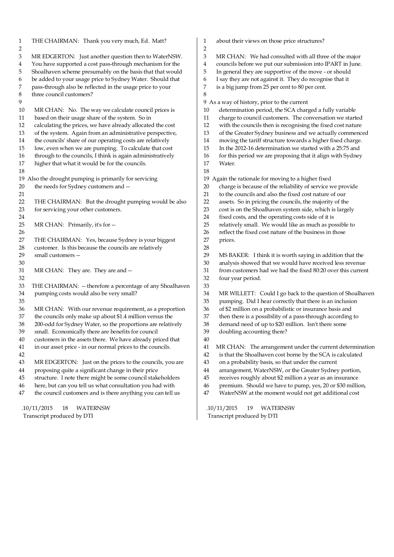| $\mathbf{1}$   | THE CHAIRMAN: Thank you very much, Ed. Matt?                                                                     | 1      | about their views on those price structures?                                                                       |
|----------------|------------------------------------------------------------------------------------------------------------------|--------|--------------------------------------------------------------------------------------------------------------------|
| $\overline{2}$ |                                                                                                                  | 2      |                                                                                                                    |
| 3              | MR EDGERTON: Just another question then to WaterNSW.<br>You have supported a cost pass-through mechanism for the | 3      | MR CHAN: We had consulted with all three of the major<br>councils before we put our submission into IPART in June. |
| 4<br>5         | Shoalhaven scheme presumably on the basis that that would                                                        | 4<br>5 | In general they are supportive of the move - or should                                                             |
| 6              | be added to your usage price to Sydney Water. Should that                                                        | 6      | I say they are not against it. They do recognise that it                                                           |
| 7              | pass-through also be reflected in the usage price to your                                                        | 7      | is a big jump from 25 per cent to 80 per cent.                                                                     |
| 8              | three council customers?                                                                                         | 8      |                                                                                                                    |
| 9              |                                                                                                                  |        | 9 As a way of history, prior to the current                                                                        |
| 10             | MR CHAN: No. The way we calculate council prices is                                                              | 10     | determination period, the SCA charged a fully variable                                                             |
| 11             | based on their usage share of the system. So in                                                                  | 11     | charge to council customers. The conversation we started                                                           |
| 12             | calculating the prices, we have already allocated the cost                                                       | 12     | with the councils then is recognising the fixed cost nature                                                        |
| 13             | of the system. Again from an administrative perspective,                                                         | 13     | of the Greater Sydney business and we actually commenced                                                           |
| 14             | the councils' share of our operating costs are relatively                                                        | $14\,$ | moving the tariff structure towards a higher fixed charge.                                                         |
| 15             | low, even when we are pumping. To calculate that cost                                                            | 15     | In the 2012-16 determination we started with a 25:75 and                                                           |
| 16             | through to the councils, I think is again administratively                                                       | 16     | for this period we are proposing that it align with Sydney                                                         |
| 17             | higher that what it would be for the councils.                                                                   | 17     | Water.                                                                                                             |
| 18             |                                                                                                                  | 18     |                                                                                                                    |
|                | 19 Also the drought pumping is primarily for servicing                                                           | 19     | Again the rationale for moving to a higher fixed                                                                   |
| 20             | the needs for Sydney customers and --                                                                            | 20     | charge is because of the reliability of service we provide                                                         |
| 21             |                                                                                                                  | 21     | to the councils and also the fixed cost nature of our                                                              |
| 22             | THE CHAIRMAN: But the drought pumping would be also                                                              | 22     | assets. So in pricing the councils, the majority of the                                                            |
| 23             | for servicing your other customers.                                                                              | 23     | cost is on the Shoalhaven system side, which is largely                                                            |
| 24             |                                                                                                                  | 24     | fixed costs, and the operating costs side of it is                                                                 |
| 25             | MR CHAN: Primarily, it's for --                                                                                  | 25     | relatively small. We would like as much as possible to                                                             |
| 26             |                                                                                                                  | 26     | reflect the fixed cost nature of the business in those                                                             |
| 27             | THE CHAIRMAN: Yes, because Sydney is your biggest                                                                | 27     | prices.                                                                                                            |
| 28             | customer. Is this because the councils are relatively                                                            | 28     |                                                                                                                    |
| 29             | small customers --                                                                                               | 29     | MS BAKER: I think it is worth saying in addition that the                                                          |
| 30             |                                                                                                                  | 30     | analysis showed that we would have received less revenue                                                           |
| 31             | MR CHAN: They are. They are and --                                                                               | $31\,$ | from customers had we had the fixed 80:20 over this current                                                        |
| 32             |                                                                                                                  | 32     | four year period.                                                                                                  |
| 33             | THE CHAIRMAN: -- therefore a percentage of any Shoalhaven                                                        | 33     |                                                                                                                    |
| 34             | pumping costs would also be very small?                                                                          | 34     | MR WILLETT: Could I go back to the question of Shoalhaven                                                          |
| 35             |                                                                                                                  | 35     | pumping. Did I hear correctly that there is an inclusion                                                           |
| 36             | MR CHAN: With our revenue requirement, as a proportion                                                           | 36     | of \$2 million on a probabilistic or insurance basis and                                                           |
| 37             | the councils only make up about \$1.4 million versus the                                                         | 37     | then there is a possibility of a pass-through according to                                                         |
| 38             | 200-odd for Sydney Water, so the proportions are relatively                                                      | 38     | demand need of up to \$20 million. Isn't there some                                                                |
| 39             | small. Economically there are benefits for council                                                               | 39     | doubling accounting there?                                                                                         |
| 40             | customers in the assets there. We have already priced that                                                       | 40     |                                                                                                                    |
| 41             | in our asset price - in our normal prices to the councils.                                                       | 41     | MR CHAN: The arrangement under the current determination                                                           |
| 42             |                                                                                                                  | 42     | is that the Shoalhaven cost borne by the SCA is calculated                                                         |
| 43             | MR EDGERTON: Just on the prices to the councils, you are                                                         | 43     | on a probability basis, so that under the current                                                                  |
| 44             | proposing quite a significant change in their price                                                              | 44     | arrangement, WaterNSW, or the Greater Sydney portion,                                                              |
| 45             | structure. I note there might be some council stakeholders                                                       | 45     | receives roughly about \$2 million a year as an insurance                                                          |
| 46             | here, but can you tell us what consultation you had with                                                         | 46     | premium. Should we have to pump, yes, 20 or \$30 million,                                                          |
| 47             | the council customers and is there anything you can tell us                                                      | 47     | WaterNSW at the moment would not get additional cost                                                               |
|                | .10/11/2015<br>18<br><b>WATERNSW</b>                                                                             |        | .10/11/2015<br>19<br><b>WATERNSW</b>                                                                               |
|                | Transcript produced by DTI                                                                                       |        | Transcript produced by DTI                                                                                         |
|                |                                                                                                                  |        |                                                                                                                    |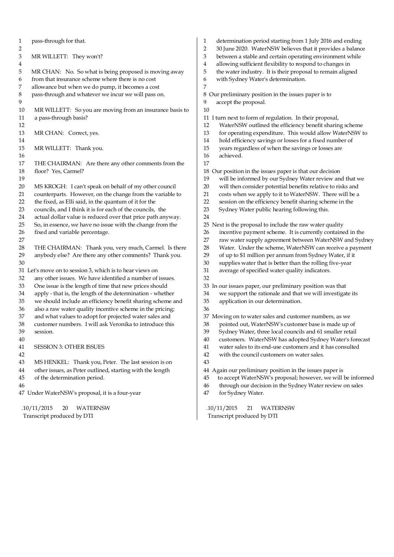1 pass-through for that.  $\frac{2}{3}$ 3 MR WILLETT: They won't?  $\frac{4}{5}$ MR CHAN: No. So what is being proposed is moving away 6 from that insurance scheme where there is no cost<br>7 allowance but when we do pump, it becomes a cos allowance but when we do pump, it becomes a cost 8 pass-through and whatever we incur we will pass on. 9 10 MR WILLETT: So you are moving from an insurance basis to 11 a pass-through basis? 12 13 MR CHAN: Correct, yes. 14 15 MR WILLETT: Thank you. 16 17 THE CHAIRMAN: Are there any other comments from the 18 floor? Yes, Carmel?  $\frac{19}{20}$ 20 MS KROGH: I can't speak on behalf of my other council<br>21 counterparts. However, on the change from the variable counterparts. However, on the change from the variable to 22 the fixed, as Elli said, in the quantum of it for the 23 councils, and I think it is for each of the councils, the 24 actual dollar value is reduced over that price path anyway. 25 So, in essence, we have no issue with the change from the 26 fixed and variable percentage. 27 28 THE CHAIRMAN: Thank you, very much, Carmel. Is there 29 anybody else? Are there any other comments? Thank you. 30 31 Let's move on to session 3, which is to hear views on 32 any other issues. We have identified a number of issues. 33 One issue is the length of time that new prices should 34 apply - that is, the length of the determination - whether 35 we should include an efficiency benefit sharing scheme and 36 also a raw water quality incentive scheme in the pricing;<br>37 and what values to adopt for projected water sales and and what values to adopt for projected water sales and 38 customer numbers. I will ask Veronika to introduce this 39 session. 40 41 SESSION 3: OTHER ISSUES 42 43 MS HENKEL: Thank you, Peter. The last session is on 44 other issues, as Peter outlined, starting with the length 45 of the determination period. 46 47 Under WaterNSW's proposal, it is a four-year 1 determination period starting from 1 July 2016 and ending 2 30 June 2020. WaterNSW believes that it provides a balance 3 between a stable and certain operating environment while 4 allowing sufficient flexibility to respond to changes in 5 the water industry. It is their proposal to remain aligned 6 with Sydney Water's determination. 7 8 Our preliminary position in the issues paper is to 9 accept the proposal. 10 11 I turn next to form of regulation. In their proposal, 12 WaterNSW outlined the efficiency benefit sharing scheme 13 for operating expenditure. This would allow WaterNSW to 14 hold efficiency savings or losses for a fixed number of 15 years regardless of when the savings or losses are 16 achieved. 17 18 Our position in the issues paper is that our decision 19 will be informed by our Sydney Water review and that we<br>20 will then consider potential benefits relative to risks and will then consider potential benefits relative to risks and 21 costs when we apply to it to WaterNSW. There will be a 22 session on the efficiency benefit sharing scheme in the 23 Sydney Water public hearing following this. 24 25 Next is the proposal to include the raw water quality 26 incentive payment scheme. It is currently contained in the 27 raw water supply agreement between WaterNSW and Sydney 28 Water. Under the scheme, WaterNSW can receive a payment 29 of up to \$1 million per annum from Sydney Water, if it 30 supplies water that is better than the rolling five-year 31 average of specified water quality indicators. 32 33 In our issues paper, our preliminary position was that 34 we support the rationale and that we will investigate its 35 application in our determination. 36 37 Moving on to water sales and customer numbers, as we 38 pointed out, WaterNSW's customer base is made up of 39 Sydney Water, three local councils and 61 smaller retail 40 customers. WaterNSW has adopted Sydney Water's forecast 41 water sales to its end-use customers and it has consulted 42 with the council customers on water sales. 43 44 Again our preliminary position in the issues paper is 45 to accept WaterNSW's proposal; however, we will be informed 46 through our decision in the Sydney Water review on sales 47 for Sydney Water.

 .10/11/2015 20 WATERNSW Transcript produced by DTI

 .10/11/2015 21 WATERNSW Transcript produced by DTI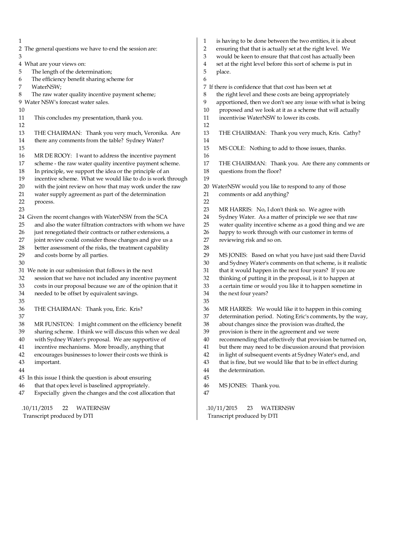1 2 The general questions we have to end the session are: 3 4 What are your views on: 5 The length of the determination; 6 The efficiency benefit sharing scheme for 7 WaterNSW; 8 The raw water quality incentive payment scheme; 9 Water NSW's forecast water sales. 10 11 This concludes my presentation, thank you. 12 13 THE CHAIRMAN: Thank you very much, Veronika. Are 14 there any comments from the table? Sydney Water? 15 16 MR DE ROOY: I want to address the incentive payment 17 scheme - the raw water quality incentive payment scheme. 18 In principle, we support the idea or the principle of an 19 incentive scheme. What we would like to do is work through<br>20 with the joint review on how that may work under the raw 20 with the joint review on how that may work under the raw<br>21 water supply agreement as part of the determination water supply agreement as part of the determination 22 process. 23 24 Given the recent changes with WaterNSW from the SCA 25 and also the water filtration contractors with whom we have 26 just renegotiated their contracts or rather extensions, a 27 joint review could consider those changes and give us a 28 better assessment of the risks, the treatment capability 29 and costs borne by all parties. 30 31 We note in our submission that follows in the next 32 session that we have not included any incentive payment 33 costs in our proposal because we are of the opinion that it 34 needed to be offset by equivalent savings. 35 36 THE CHAIRMAN: Thank you, Eric. Kris? 37 38 MR FUNSTON: I might comment on the efficiency benefit 39 sharing scheme. I think we will discuss this when we deal 40 with Sydney Water's proposal. We are supportive of 41 incentive mechanisms. More broadly, anything that 42 encourages businesses to lower their costs we think is 43 important. 44 45 In this issue I think the question is about ensuring 46 that that opex level is baselined appropriately. 47 Especially given the changes and the cost allocation that .10/11/2015 22 WATERNSW Transcript produced by DTI 1 is having to be done between the two entities, it is about 2 ensuring that that is actually set at the right level. We 3 would be keen to ensure that that cost has actually been 4 set at the right level before this sort of scheme is put in 5 place. 6 7 If there is confidence that that cost has been set at 8 the right level and these costs are being appropriately 9 apportioned, then we don't see any issue with what is being 10 proposed and we look at it as a scheme that will actually 11 incentivise WaterNSW to lower its costs. 12 13 THE CHAIRMAN: Thank you very much, Kris. Cathy? 14 15 MS COLE: Nothing to add to those issues, thanks. 16 17 THE CHAIRMAN: Thank you. Are there any comments or 18 questions from the floor? 19 20 WaterNSW would you like to respond to any of those 21 comments or add anything? 22 23 MR HARRIS: No, I don't think so. We agree with 24 Sydney Water. As a matter of principle we see that raw 25 water quality incentive scheme as a good thing and we are 26 happy to work through with our customer in terms of 27 reviewing risk and so on. 28 29 MS JONES: Based on what you have just said there David 30 and Sydney Water's comments on that scheme, is it realistic 31 that it would happen in the next four years? If you are 32 thinking of putting it in the proposal, is it to happen at 33 a certain time or would you like it to happen sometime in 34 the next four years? 35 36 MR HARRIS: We would like it to happen in this coming<br>37 determination period. Noting Fric's comments, by the wa determination period. Noting Eric's comments, by the way, 38 about changes since the provision was drafted, the 39 provision is there in the agreement and we were 40 recommending that effectively that provision be turned on, 41 but there may need to be discussion around that provision 42 in light of subsequent events at Sydney Water's end, and 43 that is fine, but we would like that to be in effect during 44 the determination. 45 46 MS JONES: Thank you. 47 .10/11/2015 23 WATERNSW Transcript produced by DTI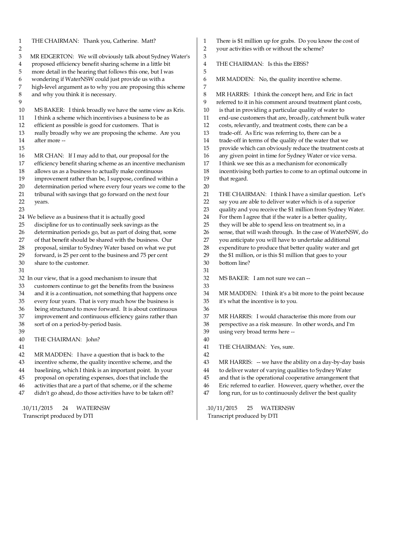| $\mathbf{1}$ | THE CHAIRMAN: Thank you, Catherine. Matt?                   | 1  | There is \$1 million up for grabs. Do you know the cost of         |
|--------------|-------------------------------------------------------------|----|--------------------------------------------------------------------|
| 2            |                                                             | 2  | your activities with or without the scheme?                        |
| 3            | MR EDGERTON: We will obviously talk about Sydney Water's    | 3  |                                                                    |
| 4            | proposed efficiency benefit sharing scheme in a little bit  | 4  | THE CHAIRMAN: Is this the EBSS?                                    |
| 5            | more detail in the hearing that follows this one, but I was | 5  |                                                                    |
| 6            | wondering if WaterNSW could just provide us with a          | 6  | MR MADDEN: No, the quality incentive scheme.                       |
| 7            | high-level argument as to why you are proposing this scheme | 7  |                                                                    |
| 8            | and why you think it is necessary.                          | 8  | MR HARRIS: I think the concept here, and Eric in fact              |
| 9            |                                                             | 9  | referred to it in his comment around treatment plant costs,        |
| 10           | MS BAKER: I think broadly we have the same view as Kris.    | 10 | is that in providing a particular quality of water to              |
| 11           | I think a scheme which incentivises a business to be as     | 11 | end-use customers that are, broadly, catchment bulk water          |
| 12           | efficient as possible is good for customers. That is        | 12 | costs, relevantly, and treatment costs, there can be a             |
| 13           | really broadly why we are proposing the scheme. Are you     | 13 | trade-off. As Eric was referring to, there can be a                |
| 14           | after more --                                               | 14 | trade-off in terms of the quality of the water that we             |
| 15           |                                                             | 15 | provide which can obviously reduce the treatment costs at          |
| 16           | MR CHAN: If I may add to that, our proposal for the         | 16 | any given point in time for Sydney Water or vice versa.            |
| 17           | efficiency benefit sharing scheme as an incentive mechanism | 17 | I think we see this as a mechanism for economically                |
| 18           | allows us as a business to actually make continuous         | 18 | incentivising both parties to come to an optimal outcome in        |
| 19           | improvement rather than be, I suppose, confined within a    | 19 | that regard.                                                       |
| 20           | determination period where every four years we come to the  | 20 |                                                                    |
| 21           | tribunal with savings that go forward on the next four      | 21 | THE CHAIRMAN: I think I have a similar question. Let's             |
| 22           | years.                                                      | 22 | say you are able to deliver water which is of a superior           |
| 23           |                                                             | 23 | quality and you receive the \$1 million from Sydney Water.         |
|              | 24 We believe as a business that it is actually good        | 24 | For them I agree that if the water is a better quality,            |
| 25           | discipline for us to continually seek savings as the        | 25 | they will be able to spend less on treatment so, in a              |
| 26           | determination periods go, but as part of doing that, some   | 26 | sense, that will wash through. In the case of WaterNSW, do         |
| 27           | of that benefit should be shared with the business. Our     | 27 | you anticipate you will have to undertake additional               |
| 28           | proposal, similar to Sydney Water based on what we put      | 28 | expenditure to produce that better quality water and get           |
| 29           | forward, is 25 per cent to the business and 75 per cent     | 29 | the \$1 million, or is this \$1 million that goes to your          |
| 30           | share to the customer.                                      | 30 | bottom line?                                                       |
| 31           |                                                             | 31 |                                                                    |
|              | 32 In our view, that is a good mechanism to insure that     | 32 | MS BAKER: I am not sure we can --                                  |
| 33           | customers continue to get the benefits from the business    | 33 |                                                                    |
| 34           | and it is a continuation, not something that happens once   | 34 | MR MADDEN: I think it's a bit more to the point because            |
| 35           | every four years. That is very much how the business is     | 35 | it's what the incentive is to you.                                 |
| 36           | being structured to move forward. It is about continuous    | 36 |                                                                    |
| 37           | improvement and continuous efficiency gains rather than     | 37 | MR HARRIS: I would characterise this more from our                 |
| 38           | sort of on a period-by-period basis.                        | 38 | perspective as a risk measure. In other words, and I'm             |
| 39           |                                                             | 39 |                                                                    |
| 40           |                                                             | 40 | using very broad terms here --                                     |
| 41           | THE CHAIRMAN: John?                                         | 41 | THE CHAIRMAN: Yes, sure.                                           |
|              | MR MADDEN: I have a question that is back to the            | 42 |                                                                    |
| 42           |                                                             |    |                                                                    |
| 43           | incentive scheme, the quality incentive scheme, and the     | 43 | MR HARRIS: -- we have the ability on a day-by-day basis            |
| 44           | baselining, which I think is an important point. In your    | 44 | to deliver water of varying qualities to Sydney Water              |
| 45           | proposal on operating expenses, does that include the       | 45 | and that is the operational cooperative arrangement that           |
| 46           | activities that are a part of that scheme, or if the scheme | 46 | Eric referred to earlier. However, query whether, over the         |
| 47           | didn't go ahead, do those activities have to be taken off?  | 47 | long run, for us to continuously deliver the best quality          |
|              | <b>WATERNSW</b>                                             |    |                                                                    |
|              | .10/11/2015<br>24<br>Transcript produced by DTI             |    | .10/11/2015<br><b>WATERNSW</b><br>25<br>Transcript produced by DTI |
|              |                                                             |    |                                                                    |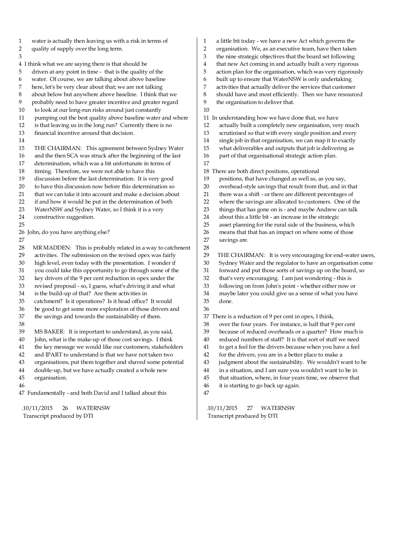1 water is actually then leaving us with a risk in terms of 2 quality of supply over the long term. 3 4 I think what we are saying there is that should be 5 driven at any point in time - that is the quality of the 6 water. Of course, we are talking about above baseline here, let's be very clear about that; we are not talking 8 about below but anywhere above baseline. I think that we 9 probably need to have greater incentive and greater regard 10 to look at our long-run risks around just constantly 11 pumping out the best quality above baseline water and where 12 is that leaving us in the long run? Currently there is no 13 financial incentive around that decision. 14 15 THE CHAIRMAN: This agreement between Sydney Water 16 and the then SCA was struck after the beginning of the last 17 determination, which was a bit unfortunate in terms of 18 timing. Therefore, we were not able to have this 19 discussion before the last determination. It is very good<br>20 to have this discussion now before this determination so 20 to have this discussion now before this determination so<br>21 that we can take it into account and make a decision abo that we can take it into account and make a decision about 22 if and how it would be put in the determination of both 23 WaterNSW and Sydney Water, so I think it is a very 24 constructive suggestion. 25 26 John, do you have anything else? 27 28 MR MADDEN: This is probably related in a way to catchment 29 activities. The submission on the revised opex was fairly 30 high level, even today with the presentation. I wonder if 31 you could take this opportunity to go through some of the 32 key drivers of the 9 per cent reduction in opex under the 33 revised proposal - so, I guess, what's driving it and what 34 is the build-up of that? Are there activities in 35 catchment? Is it operations? Is it head office? It would 36 be good to get some more exploration of those drivers and<br>37 the savings and towards the sustainability of them. the savings and towards the sustainability of them. 38 39 MS BAKER: It is important to understand, as you said, 40 John, what is the make-up of those cost savings. I think 41 the key message we would like our customers, stakeholders 42 and IPART to understand is that we have not taken two 43 organisations, put them together and shaved some potential 44 double-up, but we have actually created a whole new 45 organisation. 46 1 a little bit today - we have a new Act which governs the 2 organisation. We, as an executive team, have then taken 3 the nine strategic objectives that the board set following 4 that new Act coming in and actually built a very rigorous 5 action plan for the organisation, which was very rigorously 6 built up to ensure that WaterNSW is only undertaking 7 activities that actually deliver the services that customer 8 should have and most efficiently. Then we have resourced 9 the organisation to deliver that. 10 11 In understanding how we have done that, we have 12 actually built a completely new organisation, very much 13 scrutinised so that with every single position and every 14 single job in that organisation, we can map it to exactly 15 what deliverables and outputs that job is delivering as 16 part of that organisational strategic action plan. 17 18 There are both direct positions, operational 19 positions, that have changed as well as, as you say,<br>20 overhead-style sayings that result from that, and in overhead-style savings that result from that, and in that 21 there was a shift - or there are different percentages of 22 where the savings are allocated to customers. One of the 23 things that has gone on is - and maybe Andrew can talk 24 about this a little bit - an increase in the strategic 25 asset planning for the rural side of the business, which 26 means that that has an impact on where some of those 27 savings are. 28 29 THE CHAIRMAN: It is very encouraging for end-water users, 30 Sydney Water and the regulator to have an organisation come 31 forward and put those sorts of savings up on the board, so 32 that's very encouraging. I am just wondering - this is 33 following on from John's point - whether either now or 34 maybe later you could give us a sense of what you have 35 done. 36 37 There is a reduction of 9 per cent in opex, I think, 38 over the four years. For instance, is half that 9 per cent 39 because of reduced overheads or a quarter? How much is 40 reduced numbers of staff? It is that sort of stuff we need 41 to get a feel for the drivers because when you have a feel 42 for the drivers, you are in a better place to make a 43 judgment about the sustainability. We wouldn't want to be 44 in a situation, and I am sure you wouldn't want to be in 45 that situation, where, in four years time, we observe that 46 it is starting to go back up again.

47 Fundamentally - and both David and I talked about this

 .10/11/2015 26 WATERNSW Transcript produced by DTI

 .10/11/2015 27 WATERNSW Transcript produced by DTI

47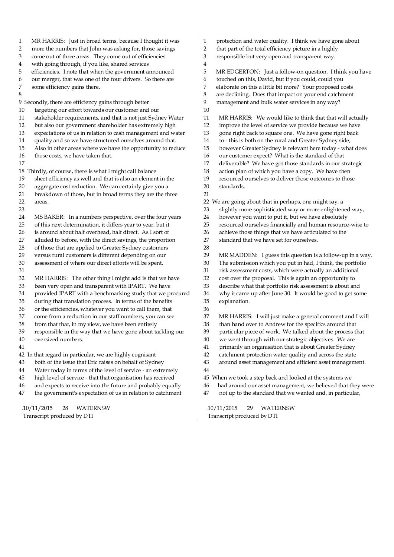| 1  | MR HARRIS: Just in broad terms, because I thought it was    | 1  | protection and water quality. I think we have gone about    |
|----|-------------------------------------------------------------|----|-------------------------------------------------------------|
| 2  | more the numbers that John was asking for, those savings    | 2  | that part of the total efficiency picture in a highly       |
| 3  | come out of three areas. They come out of efficiencies      | 3  | responsible but very open and transparent way.              |
| 4  | with going through, if you like, shared services            | 4  |                                                             |
| 5  | efficiencies. I note that when the government announced     | 5  | MR EDGERTON: Just a follow-on question. I think you have    |
| 6  | our merger, that was one of the four drivers. So there are  | 6  | touched on this, David, but if you could, could you         |
| 7  | some efficiency gains there.                                | 7  | elaborate on this a little bit more? Your proposed costs    |
| 8  |                                                             | 8  | are declining. Does that impact on your end catchment       |
|    | 9 Secondly, there are efficiency gains through better       | 9  | management and bulk water services in any way?              |
| 10 | targeting our effort towards our customer and our           | 10 |                                                             |
| 11 | stakeholder requirements, and that is not just Sydney Water | 11 | MR HARRIS: We would like to think that that will actually   |
| 12 | but also our government shareholder has extremely high      | 12 | improve the level of service we provide because we have     |
| 13 | expectations of us in relation to cash management and water | 13 | gone right back to square one. We have gone right back      |
| 14 | quality and so we have structured ourselves around that.    | 14 | to - this is both on the rural and Greater Sydney side,     |
| 15 | Also in other areas where we have the opportunity to reduce | 15 | however Greater Sydney is relevant here today - what does   |
| 16 | those costs, we have taken that.                            | 16 | our customer expect? What is the standard of that           |
| 17 |                                                             | 17 | deliverable? We have got those standards in our strategic   |
|    | 18 Thirdly, of course, there is what I might call balance   | 18 | action plan of which you have a copy. We have then          |
| 19 | sheet efficiency as well and that is also an element in the | 19 | resourced ourselves to deliver those outcomes to those      |
| 20 | aggregate cost reduction. We can certainly give you a       | 20 | standards.                                                  |
| 21 | breakdown of those, but in broad terms they are the three   | 21 |                                                             |
| 22 | areas.                                                      |    | 22 We are going about that in perhaps, one might say, a     |
| 23 |                                                             | 23 | slightly more sophisticated way or more enlightened way,    |
| 24 | MS BAKER: In a numbers perspective, over the four years     | 24 | however you want to put it, but we have absolutely          |
| 25 | of this next determination, it differs year to year, but it | 25 | resourced ourselves financially and human resource-wise to  |
| 26 | is around about half overhead, half direct. As I sort of    | 26 | achieve those things that we have articulated to the        |
| 27 | alluded to before, with the direct savings, the proportion  | 27 | standard that we have set for ourselves.                    |
| 28 | of those that are applied to Greater Sydney customers       | 28 |                                                             |
| 29 | versus rural customers is different depending on our        | 29 | MR MADDEN: I guess this question is a follow-up in a way.   |
| 30 | assessment of where our direct efforts will be spent.       | 30 | The submission which you put in had, I think, the portfolio |
| 31 |                                                             | 31 | risk assessment costs, which were actually an additional    |
| 32 | MR HARRIS: The other thing I might add is that we have      | 32 | cost over the proposal. This is again an opportunity to     |
| 33 | been very open and transparent with IPART. We have          | 33 | describe what that portfolio risk assessment is about and   |
| 34 | provided IPART with a benchmarking study that we procured   | 34 | why it came up after June 30. It would be good to get some  |
| 35 | during that translation process. In terms of the benefits   | 35 | explanation.                                                |
| 36 | or the efficiencies, whatever you want to call them, that   | 36 |                                                             |
| 37 | come from a reduction in our staff numbers, you can see     | 37 | MR HARRIS: I will just make a general comment and I will    |
| 38 | from that that, in my view, we have been entirely           | 38 | than hand over to Andrew for the specifics around that      |
| 39 | responsible in the way that we have gone about tackling our | 39 | particular piece of work. We talked about the process that  |
| 40 | oversized numbers.                                          | 40 | we went through with our strategic objectives. We are       |
| 41 |                                                             | 41 | primarily an organisation that is about Greater Sydney      |
|    | 42 In that regard in particular, we are highly cognisant    | 42 | catchment protection water quality and across the state     |
| 43 | both of the issue that Eric raises on behalf of Sydney      | 43 | around asset management and efficient asset management.     |
| 44 | Water today in terms of the level of service - an extremely | 44 |                                                             |
| 45 | high level of service - that that organisation has received | 45 | When we took a step back and looked at the systems we       |
| 46 | and expects to receive into the future and probably equally | 46 | had around our asset management, we believed that they were |
| 47 | the government's expectation of us in relation to catchment | 47 | not up to the standard that we wanted and, in particular,   |
|    |                                                             |    |                                                             |
|    | 40/44/0045                                                  |    | 144,10045<br>TATA COMPANY TOTAL                             |

 $\mathbb{R}$ 

 .10/11/2015 28 WATERNSW Transcript produced by DTI

 .10/11/2015 29 WATERNSW Transcript produced by DTI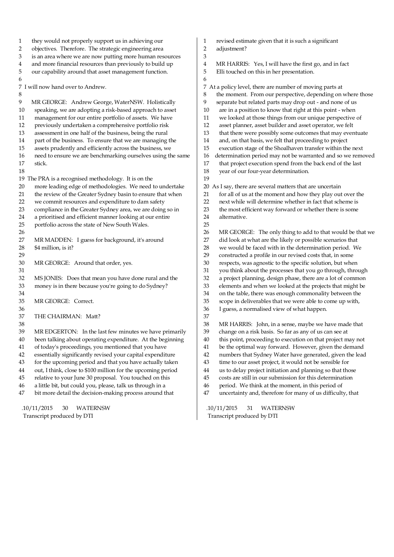| 1<br>2   | they would not properly support us in achieving our<br>objectives. Therefore. The strategic engineering area           | 1<br>2   | revised estimate given that it is such a significant<br>adjustment?                                                   |
|----------|------------------------------------------------------------------------------------------------------------------------|----------|-----------------------------------------------------------------------------------------------------------------------|
| 3        | is an area where we are now putting more human resources                                                               | 3        |                                                                                                                       |
| 4        | and more financial resources than previously to build up                                                               | 4        | MR HARRIS: Yes, I will have the first go, and in fact                                                                 |
| 5        | our capability around that asset management function.                                                                  | 5        | Elli touched on this in her presentation.                                                                             |
| 6        |                                                                                                                        | 6        |                                                                                                                       |
|          | 7 I will now hand over to Andrew.                                                                                      |          | 7 At a policy level, there are number of moving parts at                                                              |
| 8        |                                                                                                                        | 8        | the moment. From our perspective, depending on where those                                                            |
| 9        | MR GEORGE: Andrew George, WaterNSW. Holistically                                                                       | 9        | separate but related parts may drop out - and none of us                                                              |
| 10       | speaking, we are adopting a risk-based approach to asset                                                               | 10       | are in a position to know that right at this point - when                                                             |
| 11       | management for our entire portfolio of assets. We have                                                                 | 11       | we looked at those things from our unique perspective of                                                              |
| 12       | previously undertaken a comprehensive portfolio risk                                                                   | 12       | asset planner, asset builder and asset operator, we felt                                                              |
| 13       | assessment in one half of the business, being the rural                                                                | 13       | that there were possibly some outcomes that may eventuate                                                             |
| 14       | part of the business. To ensure that we are managing the                                                               | 14       | and, on that basis, we felt that proceeding to project                                                                |
| 15       | assets prudently and efficiently across the business, we                                                               | 15       | execution stage of the Shoalhaven transfer within the next                                                            |
| 16       | need to ensure we are benchmarking ourselves using the same                                                            | 16       | determination period may not be warranted and so we removed                                                           |
| 17       | stick.                                                                                                                 | 17       | that project execution spend from the back end of the last                                                            |
| 18       |                                                                                                                        | 18       | year of our four-year determination.                                                                                  |
|          | 19 The PRA is a recognised methodology. It is on the                                                                   | 19       |                                                                                                                       |
| 20       | more leading edge of methodologies. We need to undertake                                                               | 20       | As I say, there are several matters that are uncertain                                                                |
| 21       | the review of the Greater Sydney basin to ensure that when                                                             | 21       | for all of us at the moment and how they play out over the                                                            |
| 22       | we commit resources and expenditure to dam safety                                                                      | 22       | next while will determine whether in fact that scheme is                                                              |
| 23       | compliance in the Greater Sydney area, we are doing so in                                                              | 23       | the most efficient way forward or whether there is some                                                               |
| 24       | a prioritised and efficient manner looking at our entire                                                               | 24       | alternative.                                                                                                          |
| 25       | portfolio across the state of New South Wales.                                                                         | 25       |                                                                                                                       |
| 26       |                                                                                                                        | 26       | MR GEORGE: The only thing to add to that would be that we                                                             |
| 27       | MR MADDEN: I guess for background, it's around                                                                         | 27       | did look at what are the likely or possible scenarios that                                                            |
| 28       | \$4 million, is it?                                                                                                    | 28       | we would be faced with in the determination period. We                                                                |
| 29       |                                                                                                                        | 29       | constructed a profile in our revised costs that, in some                                                              |
| 30       | MR GEORGE: Around that order, yes.                                                                                     | 30       | respects, was agnostic to the specific solution, but when                                                             |
| 31       |                                                                                                                        | 31       | you think about the processes that you go through, through                                                            |
| 32       | MS JONES: Does that mean you have done rural and the                                                                   | 32       | a project planning, design phase, there are a lot of common                                                           |
| 33       | money is in there because you're going to do Sydney?                                                                   | 33       | elements and when we looked at the projects that might be                                                             |
| 34       |                                                                                                                        | 34       | on the table, there was enough commonality between the                                                                |
| 35       | MR GEORGE: Correct.                                                                                                    | 35       | scope in deliverables that we were able to come up with,                                                              |
| 36       |                                                                                                                        | 36       | I guess, a normalised view of what happen.                                                                            |
| 37       | THE CHAIRMAN: Matt?                                                                                                    | 37       |                                                                                                                       |
| 38       |                                                                                                                        | 38       | MR HARRIS: John, in a sense, maybe we have made that                                                                  |
| 39       | MR EDGERTON: In the last few minutes we have primarily                                                                 | 39       | change on a risk basis. So far as any of us can see at                                                                |
| 40       | been talking about operating expenditure. At the beginning                                                             | 40<br>41 | this point, proceeding to execution on that project may not                                                           |
| 41       | of today's proceedings, you mentioned that you have                                                                    | 42       | be the optimal way forward. However, given the demand<br>numbers that Sydney Water have generated, given the lead     |
| 42<br>43 | essentially significantly revised your capital expenditure<br>for the upcoming period and that you have actually taken | 43       |                                                                                                                       |
|          |                                                                                                                        |          | time to our asset project, it would not be sensible for                                                               |
| 44       | out, I think, close to \$100 million for the upcoming period<br>relative to your June 30 proposal. You touched on this | 44<br>45 | us to delay project initiation and planning so that those<br>costs are still in our submission for this determination |
| 45<br>46 | a little bit, but could you, please, talk us through in a                                                              | 46       | period. We think at the moment, in this period of                                                                     |
| 47       | bit more detail the decision-making process around that                                                                | 47       | uncertainty and, therefore for many of us difficulty, that                                                            |
|          |                                                                                                                        |          |                                                                                                                       |
|          |                                                                                                                        |          |                                                                                                                       |

 .10/11/2015 30 WATERNSW Transcript produced by DTI

 .10/11/2015 31 WATERNSW Transcript produced by DTI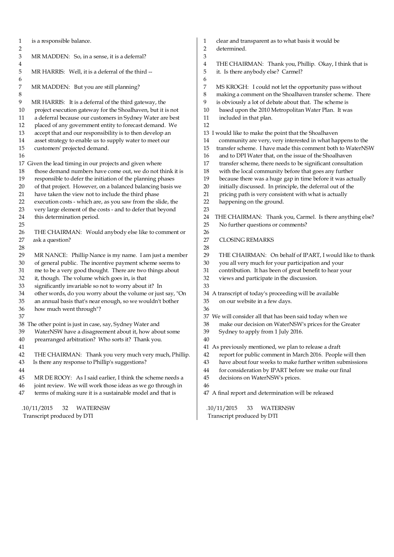1 is a responsible balance.  $\frac{2}{3}$ MR MADDEN: So, in a sense, it is a deferral?  $\frac{4}{5}$ MR HARRIS: Well, it is a deferral of the third --6<br>7 MR MADDEN: But you are still planning? 8 9 MR HARRIS: It is a deferral of the third gateway, the 10 project execution gateway for the Shoalhaven, but it is not 11 a deferral because our customers in Sydney Water are best 12 placed of any government entity to forecast demand. We 13 accept that and our responsibility is to then develop an 14 asset strategy to enable us to supply water to meet our 15 customers' projected demand. 16 17 Given the lead timing in our projects and given where 18 those demand numbers have come out, we do not think it is 19 responsible to defer the initiation of the planning phases 20 of that project. However, on a balanced balancing basis we<br>21 have taken the view not to include the third phase have taken the view not to include the third phase 22 execution costs - which are, as you saw from the slide, the 23 very large element of the costs - and to defer that beyond 24 this determination period. 25 26 THE CHAIRMAN: Would anybody else like to comment or 27 ask a question? 28 29 MR NANCE: Phillip Nance is my name. I am just a member 30 of general public. The incentive payment scheme seems to 31 me to be a very good thought. There are two things about 32 it, though. The volume which goes in, is that 33 significantly invariable so not to worry about it? In 34 other words, do you worry about the volume or just say, "On 35 an annual basis that's near enough, so we wouldn't bother 36 how much went through"? 37 38 The other point is just in case, say, Sydney Water and 39 WaterNSW have a disagreement about it, how about some 40 prearranged arbitration? Who sorts it? Thank you. 41 42 THE CHAIRMAN: Thank you very much very much, Phillip. 43 Is there any response to Phillip's suggestions? 44 45 MR DE ROOY: As I said earlier, I think the scheme needs a 46 joint review. We will work those ideas as we go through in 47 terms of making sure it is a sustainable model and that is 1 clear and transparent as to what basis it would be 2 determined. 3 4 THE CHAIRMAN: Thank you, Phillip. Okay, I think that is 5 it. Is there anybody else? Carmel? 6 7 MS KROGH: I could not let the opportunity pass without 8 making a comment on the Shoalhaven transfer scheme. There 9 is obviously a lot of debate about that. The scheme is 10 based upon the 2010 Metropolitan Water Plan. It was 11 included in that plan. 12 13 I would like to make the point that the Shoalhaven 14 community are very, very interested in what happens to the 15 transfer scheme. I have made this comment both to WaterNSW 16 and to DPI Water that, on the issue of the Shoalhaven 17 transfer scheme, there needs to be significant consultation 18 with the local community before that goes any further 19 because there was a huge gap in time before it was actually<br>20 initially discussed. In principle, the deferral out of the initially discussed. In principle, the deferral out of the 21 pricing path is very consistent with what is actually 22 happening on the ground. 23 24 THE CHAIRMAN: Thank you, Carmel. Is there anything else? 25 No further questions or comments? 26 27 CLOSING REMARKS 28 29 THE CHAIRMAN: On behalf of IPART, I would like to thank 30 you all very much for your participation and your 31 contribution. It has been of great benefit to hear your 32 views and participate in the discussion. 33 34 A transcript of today's proceeding will be available 35 on our website in a few days. 36 37 We will consider all that has been said today when we 38 make our decision on WaterNSW's prices for the Greater 39 Sydney to apply from 1 July 2016. 40 41 As previously mentioned, we plan to release a draft 42 report for public comment in March 2016. People will then 43 have about four weeks to make further written submissions 44 for consideration by IPART before we make our final 45 decisions on WaterNSW's prices. 46 47 A final report and determination will be released

 .10/11/2015 32 WATERNSW Transcript produced by DTI

 .10/11/2015 33 WATERNSW Transcript produced by DTI